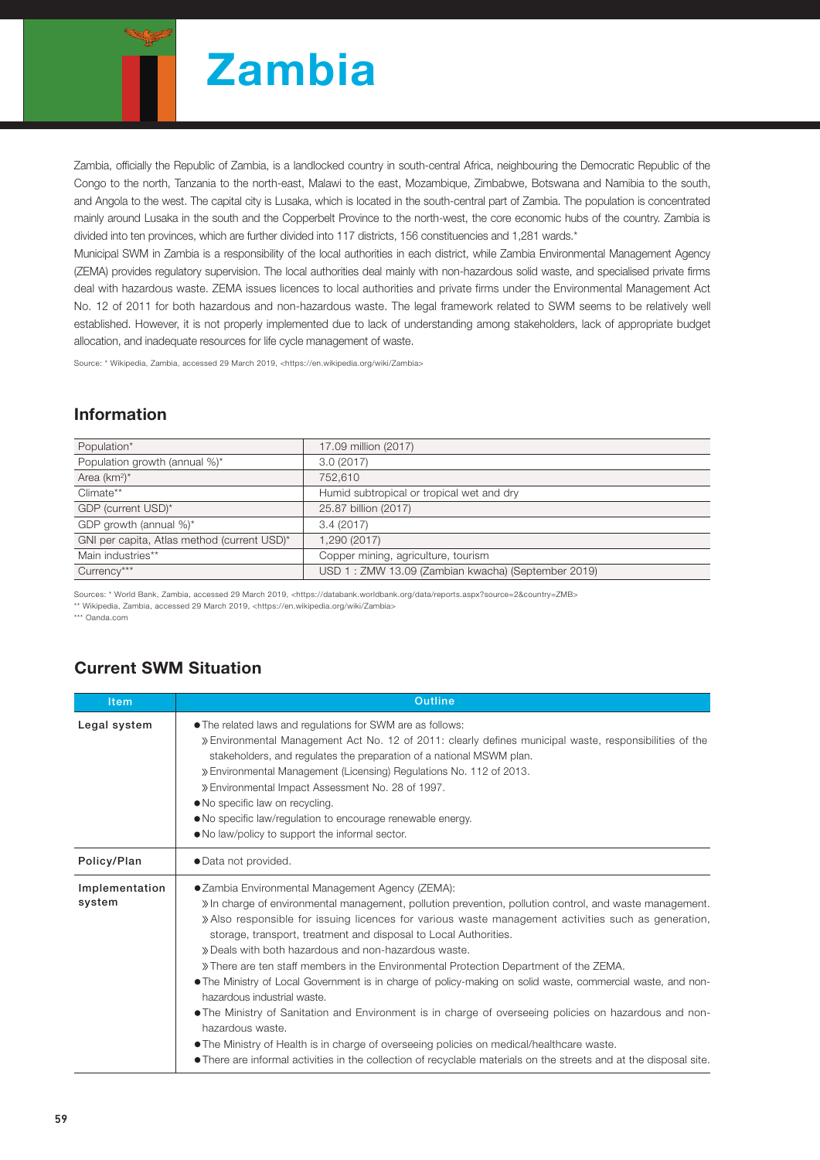

Zambia, officially the Republic of Zambia, is a landlocked country in south-central Africa, neighbouring the Democratic Republic of the Congo to the north, Tanzania to the north-east, Malawi to the east, Mozambique, Zimbabwe, Botswana and Namibia to the south, and Angola to the west. The capital city is Lusaka, which is located in the south-central part of Zambia. The population is concentrated mainly around Lusaka in the south and the Copperbelt Province to the north-west, the core economic hubs of the country. Zambia is divided into ten provinces, which are further divided into 117 districts, 156 constituencies and 1,281 wards.\*

Municipal SWM in Zambia is a responsibility of the local authorities in each district, while Zambia Environmental Management Agency (ZEMA) provides regulatory supervision. The local authorities deal mainly with non-hazardous solid waste, and specialised private firms deal with hazardous waste. ZEMA issues licences to local authorities and private firms under the Environmental Management Act No. 12 of 2011 for both hazardous and non-hazardous waste. The legal framework related to SWM seems to be relatively well established. However, it is not properly implemented due to lack of understanding among stakeholders, lack of appropriate budget allocation, and inadequate resources for life cycle management of waste.

Source: \* Wikipedia, Zambia, accessed 29 March 2019, <https://en.wikipedia.org/wiki/Zambia>

## Information

| Population*                                 | 17.09 million (2017)                               |
|---------------------------------------------|----------------------------------------------------|
| Population growth (annual %)*               | 3.0(2017)                                          |
| Area $(km^2)^*$                             | 752,610                                            |
| Climate**                                   | Humid subtropical or tropical wet and dry          |
| GDP (current USD)*                          | 25.87 billion (2017)                               |
| GDP growth (annual %)*                      | 3.4(2017)                                          |
| GNI per capita, Atlas method (current USD)* | 1,290 (2017)                                       |
| Main industries**                           | Copper mining, agriculture, tourism                |
| Currency***                                 | USD 1: ZMW 13.09 (Zambian kwacha) (September 2019) |
|                                             |                                                    |

Sources: \* World Bank, Zambia, accessed 29 March 2019, <https://databank.worldbank.org/data/reports.aspx?source=2&country=ZMB> \*\* Wikipedia, Zambia, accessed 29 March 2019, <https://en.wikipedia.org/wiki/Zambia>

\*\*\* Oanda.com

## Current SWM Situation

| <b>Item</b>              | <b>Outline</b>                                                                                                                                                                                                                                                                                                                                                                                                                                                                                                                                                                                                                                                                                                                                                                                                                                                                                                                                                                         |  |  |  |
|--------------------------|----------------------------------------------------------------------------------------------------------------------------------------------------------------------------------------------------------------------------------------------------------------------------------------------------------------------------------------------------------------------------------------------------------------------------------------------------------------------------------------------------------------------------------------------------------------------------------------------------------------------------------------------------------------------------------------------------------------------------------------------------------------------------------------------------------------------------------------------------------------------------------------------------------------------------------------------------------------------------------------|--|--|--|
| Legal system             | • The related laws and regulations for SWM are as follows:<br>» Environmental Management Act No. 12 of 2011: clearly defines municipal waste, responsibilities of the<br>stakeholders, and regulates the preparation of a national MSWM plan.<br>» Environmental Management (Licensing) Regulations No. 112 of 2013.<br>» Environmental Impact Assessment No. 28 of 1997.<br>. No specific law on recycling.<br>• No specific law/regulation to encourage renewable energy.<br>• No law/policy to support the informal sector.                                                                                                                                                                                                                                                                                                                                                                                                                                                         |  |  |  |
| Policy/Plan              | · Data not provided.                                                                                                                                                                                                                                                                                                                                                                                                                                                                                                                                                                                                                                                                                                                                                                                                                                                                                                                                                                   |  |  |  |
| Implementation<br>system | • Zambia Environmental Management Agency (ZEMA):<br>» In charge of environmental management, pollution prevention, pollution control, and waste management.<br>» Also responsible for issuing licences for various waste management activities such as generation,<br>storage, transport, treatment and disposal to Local Authorities.<br>» Deals with both hazardous and non-hazardous waste.<br>» There are ten staff members in the Environmental Protection Department of the ZEMA.<br>• The Ministry of Local Government is in charge of policy-making on solid waste, commercial waste, and non-<br>hazardous industrial waste.<br>• The Ministry of Sanitation and Environment is in charge of overseeing policies on hazardous and non-<br>hazardous waste.<br>• The Ministry of Health is in charge of overseeing policies on medical/healthcare waste.<br>• There are informal activities in the collection of recyclable materials on the streets and at the disposal site. |  |  |  |